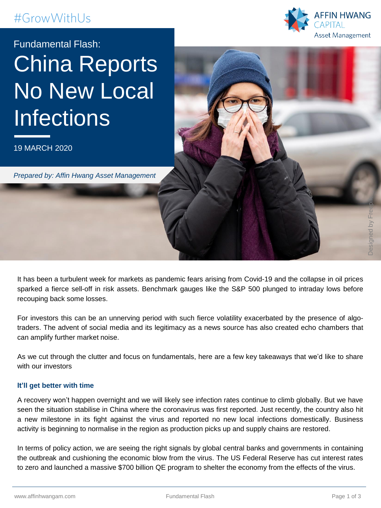## #GrowWithUs



# Fundamental Flash: China Reports No New Local **Infections**

19 MARCH 2020

*Prepared by: Affin Hwang Asset Management*

It has been a turbulent week for markets as pandemic fears arising from Covid-19 and the collapse in oil prices sparked a fierce sell-off in risk assets. Benchmark gauges like the S&P 500 plunged to intraday lows before recouping back some losses.

For investors this can be an unnerving period with such fierce volatility exacerbated by the presence of algotraders. The advent of social media and its legitimacy as a news source has also created echo chambers that can amplify further market noise.

As we cut through the clutter and focus on fundamentals, here are a few key takeaways that we'd like to share with our investors

### **It'll get better with time**

A recovery won't happen overnight and we will likely see infection rates continue to climb globally. But we have seen the situation stabilise in China where the coronavirus was first reported. Just recently, the country also hit a new milestone in its fight against the virus and reported no new local infections domestically. Business activity is beginning to normalise in the region as production picks up and supply chains are restored.

In terms of policy action, we are seeing the right signals by global central banks and governments in containing the outbreak and cushioning the economic blow from the virus. The US Federal Reserve has cut interest rates to zero and launched a massive \$700 billion QE program to shelter the economy from the effects of the virus.

Designed by Free olk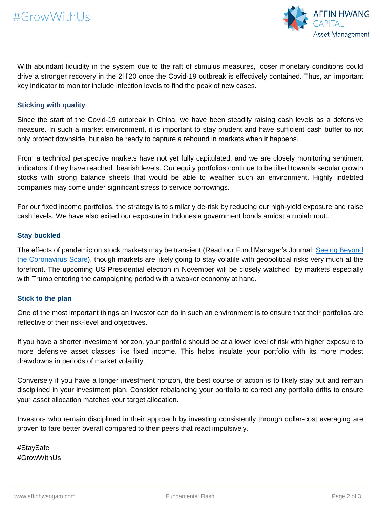

With abundant liquidity in the system due to the raft of stimulus measures, looser monetary conditions could drive a stronger recovery in the 2H'20 once the Covid-19 outbreak is effectively contained. Thus, an important key indicator to monitor include infection levels to find the peak of new cases.

#### **Sticking with quality**

Since the start of the Covid-19 outbreak in China, we have been steadily raising cash levels as a defensive measure. In such a market environment, it is important to stay prudent and have sufficient cash buffer to not only protect downside, but also be ready to capture a rebound in markets when it happens.

From a technical perspective markets have not yet fully capitulated. and we are closely monitoring sentiment indicators if they have reached bearish levels. Our equity portfolios continue to be tilted towards secular growth stocks with strong balance sheets that would be able to weather such an environment. Highly indebted companies may come under significant stress to service borrowings.

For our fixed income portfolios, the strategy is to similarly de-risk by reducing our high-yield exposure and raise cash levels. We have also exited our exposure in Indonesia government bonds amidst a rupiah rout..

#### **Stay buckled**

The effects of pandemic on stock markets may be transient (Read our Fund Manager's Journal: Seeing Beyond the [Coronavirus](https://affinhwangam.com/seeing-beyond-coronavirus-scare/) Scare), though markets are likely going to stay volatile with geopolitical risks very much at the forefront. The upcoming US Presidential election in November will be closely watched by markets especially with Trump entering the campaigning period with a weaker economy at hand.

#### **Stick to the plan**

One of the most important things an investor can do in such an environment is to ensure that their portfolios are reflective of their risk-level and objectives.

If you have a shorter investment horizon, your portfolio should be at a lower level of risk with higher exposure to more defensive asset classes like fixed income. This helps insulate your portfolio with its more modest drawdowns in periods of market volatility.

Conversely if you have a longer investment horizon, the best course of action is to likely stay put and remain disciplined in your investment plan. Consider rebalancing your portfolio to correct any portfolio drifts to ensure your asset allocation matches your target allocation.

Investors who remain disciplined in their approach by investing consistently through dollar-cost averaging are proven to fare better overall compared to their peers that react impulsively.

#StaySafe #GrowWithUs